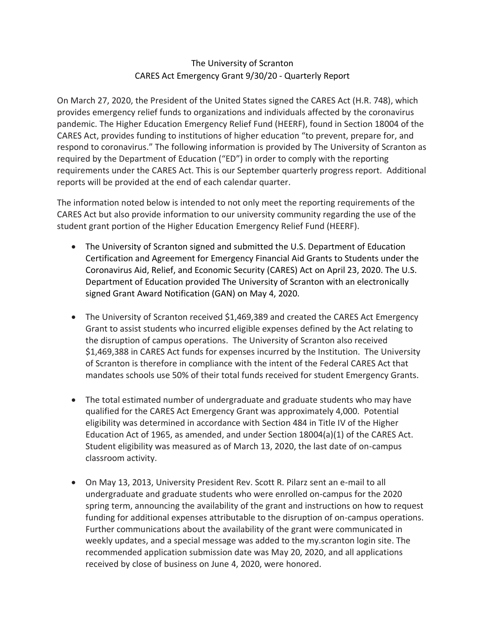## The University of Scranton CARES Act Emergency Grant 9/30/20 - Quarterly Report

On March 27, 2020, the President of the United States signed the CARES Act (H.R. 748), which provides emergency relief funds to organizations and individuals affected by the coronavirus pandemic. The Higher Education Emergency Relief Fund (HEERF), found in Section 18004 of the CARES Act, provides funding to institutions of higher education "to prevent, prepare for, and respond to coronavirus." The following information is provided by The University of Scranton as required by the Department of Education ("ED") in order to comply with the reporting requirements under the CARES Act. This is our September quarterly progress report. Additional reports will be provided at the end of each calendar quarter.

The information noted below is intended to not only meet the reporting requirements of the CARES Act but also provide information to our university community regarding the use of the student grant portion of the Higher Education Emergency Relief Fund (HEERF).

- The University of Scranton signed and submitted the U.S. Department of Education Certification and Agreement for Emergency Financial Aid Grants to Students under the Coronavirus Aid, Relief, and Economic Security (CARES) Act on April 23, 2020. The U.S. Department of Education provided The University of Scranton with an electronically signed Grant Award Notification (GAN) on May 4, 2020.
- The University of Scranton received \$1,469,389 and created the CARES Act Emergency Grant to assist students who incurred eligible expenses defined by the Act relating to the disruption of campus operations. The University of Scranton also received \$1,469,388 in CARES Act funds for expenses incurred by the Institution. The University of Scranton is therefore in compliance with the intent of the Federal CARES Act that mandates schools use 50% of their total funds received for student Emergency Grants.
- The total estimated number of undergraduate and graduate students who may have qualified for the CARES Act Emergency Grant was approximately 4,000. Potential eligibility was determined in accordance with Section 484 in Title IV of the Higher Education Act of 1965, as amended, and under Section 18004(a)(1) of the CARES Act. Student eligibility was measured as of March 13, 2020, the last date of on-campus classroom activity.
- On May 13, 2013, University President Rev. Scott R. Pilarz sent an e-mail to all undergraduate and graduate students who were enrolled on-campus for the 2020 spring term, announcing the availability of the grant and instructions on how to request funding for additional expenses attributable to the disruption of on-campus operations. Further communications about the availability of the grant were communicated in weekly updates, and a special message was added to the my.scranton login site. The recommended application submission date was May 20, 2020, and all applications received by close of business on June 4, 2020, were honored.